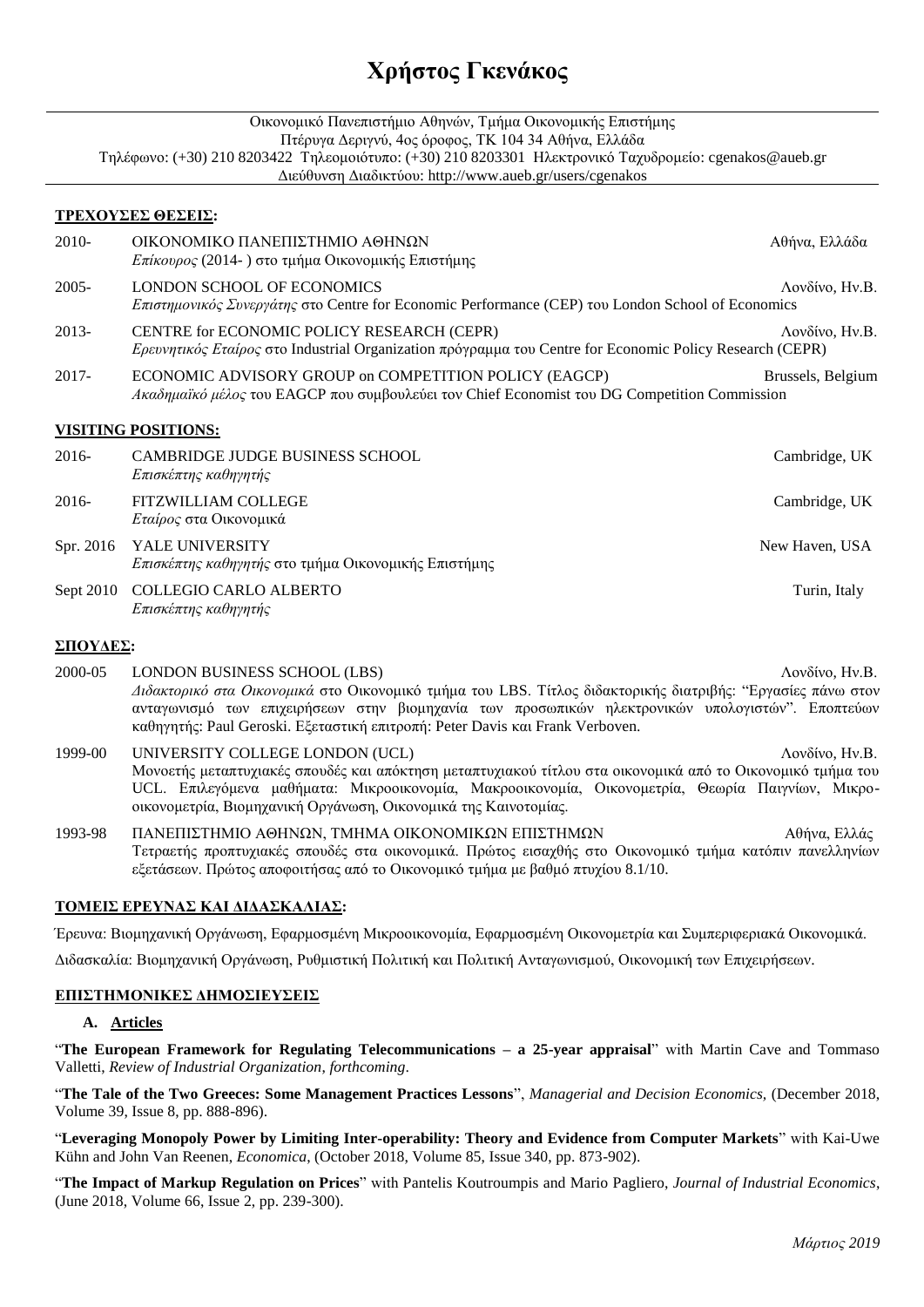## **Χρήστος Γκενάκος**

| Οικονομικό Πανεπιστήμιο Αθηνών, Τμήμα Οικονομικής Επιστήμης<br>Πτέρυγα Δεριγνύ, 4ος όροφος, ΤΚ 104 34 Αθήνα, Ελλάδα                                               |                                                                                                                                                        |                   |
|-------------------------------------------------------------------------------------------------------------------------------------------------------------------|--------------------------------------------------------------------------------------------------------------------------------------------------------|-------------------|
| Τηλέφωνο: (+30) 210 8203422 Τηλεομοιότυπο: (+30) 210 8203301 Ηλεκτρονικό Ταχυδρομείο: cgenakos@aueb.gr<br>Διεύθυνση Διαδικτύου: http://www.aueb.gr/users/cgenakos |                                                                                                                                                        |                   |
|                                                                                                                                                                   | ΤΡΕΧΟΥΣΕΣ ΘΕΣΕΙΣ:                                                                                                                                      |                   |
| $2010-$                                                                                                                                                           | ΟΙΚΟΝΟΜΙΚΟ ΠΑΝΕΠΙΣΤΗΜΙΟ ΑΘΗΝΩΝ<br>Επίκουρος (2014-) στο τμήμα Οικονομικής Επιστήμης                                                                    | Αθήνα, Ελλάδα     |
| $2005 -$                                                                                                                                                          | LONDON SCHOOL OF ECONOMICS<br>Επιστημονικός Συνεργάτης στο Centre for Economic Performance (CEP) του London School of Economics                        | Λονδίνο, Ην.Β.    |
| 2013-                                                                                                                                                             | CENTRE for ECONOMIC POLICY RESEARCH (CEPR)<br>Ερευνητικός Εταίρος στο Industrial Organization πρόγραμμα του Centre for Economic Policy Research (CEPR) | Λονδίνο, Ην.Β.    |
| $2017 -$                                                                                                                                                          | ECONOMIC ADVISORY GROUP on COMPETITION POLICY (EAGCP)<br>Ακαδημαϊκό μέλος του EAGCP που συμβουλεύει τον Chief Economist του DG Competition Commission  | Brussels, Belgium |
|                                                                                                                                                                   | <b>VISITING POSITIONS:</b>                                                                                                                             |                   |
| $2016-$                                                                                                                                                           | <b>CAMBRIDGE JUDGE BUSINESS SCHOOL</b><br>Επισκέπτης καθηγητής                                                                                         | Cambridge, UK     |
| $2016-$                                                                                                                                                           | <b>FITZWILLIAM COLLEGE</b><br>Εταίρος στα Οικονομικά                                                                                                   | Cambridge, UK     |
| Spr. 2016                                                                                                                                                         | <b>YALE UNIVERSITY</b><br>Επισκέπτης καθηγητής στο τμήμα Οικονομικής Επιστήμης                                                                         | New Haven, USA    |
| Sept 2010                                                                                                                                                         | <b>COLLEGIO CARLO ALBERTO</b><br>Επισκέπτης καθηγητής                                                                                                  | Turin, Italy      |
|                                                                                                                                                                   |                                                                                                                                                        |                   |

#### **ΣΠΟΥΔΕΣ:**

- 2000-05 LONDON BUSINESS SCHOOL (LBS) 2000-05 Δονδίνο, Ην.Β. *Διδακτορικό στα Οικονομικά* στο Οικονομικό τμήμα του LBS. Τίτλος διδακτορικής διατριβής: "Εργασίες πάνω στον ανταγωνισμό των επιχειρήσεων στην βιομηχανία των προσωπικών ηλεκτρονικών υπολογιστών". Εποπτεύων καθηγητής: Paul Geroski. Εξεταστική επιτροπή: Peter Davis και Frank Verboven.
- 1999-00 UNIVERSITY COLLEGE LONDON (UCL) Λονδίνο, Ην.Β. Μονοετής μεταπτυχιακές σπουδές και απόκτηση μεταπτυχιακού τίτλου στα οικονομικά από το Οικονομικό τμήμα του UCL. Επιλεγόμενα μαθήματα: Μικροοικονομία, Μακροοικονομία, Οικονομετρία, Θεωρία Παιγνίων, Μικροοικονομετρία, Βιομηχανική Οργάνωση, Οικονομικά της Καινοτομίας.
- 1993-98 ΠΑΝΕΠΙΣΤΗΜΙΟ ΑΘΗΝΩΝ, ΤΜΗΜΑ ΟΙΚΟΝΟΜΙΚΩΝ ΕΠΙΣΤΗΜΩΝ Αθήνα, Ελλάς Τετραετής προπτυχιακές σπουδές στα οικονομικά. Πρώτος εισαχθής στο Οικονομικό τμήμα κατόπιν πανελληνίων εξετάσεων. Πρώτος αποφοιτήσας από το Οικονομικό τμήμα με βαθμό πτυχίου 8.1/10.

## **ΤΟΜΕΙΣ ΕΡΕΥΝΑΣ ΚΑΙ ΔΙΔΑΣΚΑΛΙΑΣ:**

Έρευνα: Βιομηχανική Οργάνωση, Εφαρμοσμένη Μικροοικονομία, Εφαρμοσμένη Οικονομετρία και Συμπεριφεριακά Οικονομικά.

Διδασκαλία: Βιομηχανική Οργάνωση, Ρυθμιστική Πολιτική και Πολιτική Ανταγωνισμού, Οικονομική των Επιχειρήσεων.

#### **ΕΠΙΣΤΗΜΟΝΙΚΕΣ ΔΗΜΟΣΙΕΥΣΕΙΣ**

#### **A. Articles**

"**The European Framework for Regulating Telecommunications – a 25-year appraisal**" with Martin Cave and [Tommaso](http://www3.imperial.ac.uk/people/t.valletti)  [Valletti,](http://www3.imperial.ac.uk/people/t.valletti) *Review of Industrial Organization*, *forthcoming*.

"**The Tale of the Two Greeces: Some Management Practices Lessons**", *Managerial and Decision Economics,* (December 2018, Volume 39, Issue 8, pp. 888-896).

"**[Leveraging Monopoly Power by Limiting Inter-operability: Theory and Evidence from Computer Markets](../Research.files/GKVR_NBER.pdf)**" with [Kai-Uwe](http://www.lsa.umich.edu/umich/v/index.jsp?vgnextoid=3d8c77e35021a110VgnVCM100000a3b1d38dRCRD&vgnextchannel=b717ed1048e4c010VgnVCM10000096b1d38dRCRD&vgnextfmt=default)  [Kühn](http://www.lsa.umich.edu/umich/v/index.jsp?vgnextoid=3d8c77e35021a110VgnVCM100000a3b1d38dRCRD&vgnextchannel=b717ed1048e4c010VgnVCM10000096b1d38dRCRD&vgnextfmt=default) and [John Van Reenen,](http://cep.lse.ac.uk/_new/staff/person.asp?id=1358) *Economica*, (October 2018, Volume 85, Issue 340, pp. 873-902).

"**[The Impact of Markup Regulation on Prices](../Research.files/GKP_Markup%20regulation.pdf)**" with [Pantelis Koutroumpis](http://www.imperial.ac.uk/AP/faces/pages/read/Home.jsp?person=p.koutroumpis&_adf.ctrl-state=pv3jgq4pu_3&_afrRedirect=2166017861238551) and [Mario Pagliero,](http://web.econ.unito.it/pagliero/) *Journal of Industrial Economics*, (June 2018, Volume 66, Issue 2, pp. 239-300).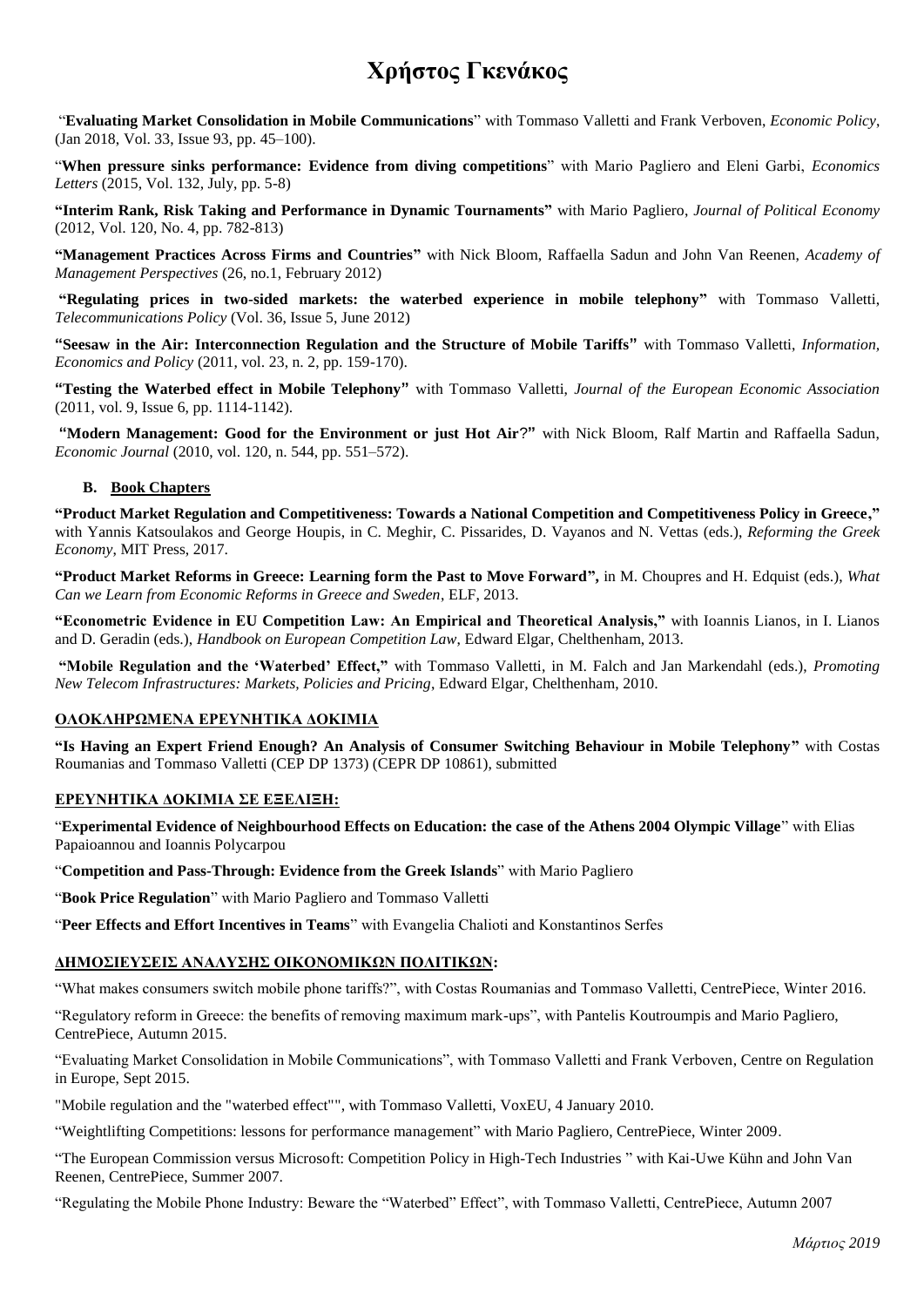## **Χρήστος Γκενάκος**

"**[Evaluating Market Consolidation in Mobile Communications](http://cerre.eu/sites/cerre/files/150915_CERRE_Mobile_Consolidation_Report_Final.pdf)**" with [Tommaso Valletti](http://www3.imperial.ac.uk/people/t.valletti) and [Frank Verboven,](https://sites.google.com/site/frankverbo/) *Economic Policy*, (Jan 2018, Vol. 33, Issue 93, pp. 45–100).

"**When pressure sinks performance: Evidence from diving competitions**" with Mario Pagliero and Eleni Garbi, *Economics Letters* (2015, Vol. 132, July, pp. 5-8)

**"Interim Rank, [Risk Taking and Performance in Dynamic](http://www.sel.cam.ac.uk/Genakos/Genakos%20&%20Pagliero%20%282009%29%20ext_.pdf) Tournaments"** with [Mario Pagliero,](http://web.econ.unito.it/pagliero/) *Journal of Political Economy*  (2012, Vol. 120, No. 4, pp. 782-813)

**["Management Practices Across Firms and Countries"](../../../../../Christos%20Genakos/Documents/My%20Dropbox/cgenakos/Web/Research.files/BGSVR%20-%20AMP.pdf)** with [Nick Bloom,](http://www.stanford.edu/~nbloom/) [Raffaella Sadun](http://drfd.hbs.edu/fit/public/facultyInfo.do?facInfo=ovr&facId=541712) and [John Van Reenen,](http://cep.lse.ac.uk/_new/staff/person.asp?id=1358) *Academy of Management Perspectives* (26, no.1, February 2012)

**["Regulating prices in two-sided markets: the waterbed experience in mobile telephony"](../../../../../Christos%20Genakos/Documents/My%20Dropbox/cgenakos/Web/Research.files/Genakos%20&%20Valletti%20-%20Regulating%20prices%20in%20two-sided%20markets.pdf)** with [Tommaso Valletti,](http://www3.imperial.ac.uk/people/t.valletti) *Telecommunications Policy* (Vol. 36, Issue 5, June 2012)

**"Seesaw in the Air: Interconnection Regulation and the Structure of Mobile Tariffs"** with Tommaso Valletti, *Information, Economics and Policy* (2011, vol. 23, n. 2, pp. 159-170).

**"Testing the Waterbed effect in Mobile Telephony"** with Tommaso Valletti, *Journal of the European Economic Association*  (2011, vol. 9, Issue 6, pp. 1114-1142).

**"Modern Management: Good for the Environment or just Hot Air**?**"** with Nick Bloom, Ralf Martin and Raffaella Sadun, *Economic Journal* (2010, vol. 120, n. 544, pp. 551–572).

### **B. Book Chapters**

**"Product Market Regulation and Competitiveness: Towards a National Competition and Competitiveness Policy in Greece,"**  with Yannis Katsoulakos and George Houpis, in C. Meghir, C. Pissarides, D. Vayanos and N. Vettas (eds.), *Reforming the Greek Economy*, MIT Press, 2017.

**"Product Market Reforms in Greece: Learning form the Past to Move Forward",** in M. Choupres and H. Edquist (eds.), *What Can we Learn from Economic Reforms in Greece and Sweden*, ELF, 2013.

**"Econometric Evidence in EU Competition Law: An Empirical and Theoretical Analysis,"** with [Ioannis Lianos,](http://www.ucl.ac.uk/laws/academics/profiles/index.shtml?lianos) in I. Lianos and D. Geradin (eds.), *Handbook on European Competition Law*, Edward Elgar, Chelthenham, 2013.

**"Mobile Regulation and the 'Waterbed' Effect,"** with Tommaso Valletti, in M. Falch and Jan Markendahl (eds.), *Promoting New Telecom Infrastructures: Markets, Policies and Pricing*, Edward Elgar, Chelthenham, 2010.

#### **ΟΛΟΚΛΗΡΩΜΕΝΑ ΕΡΕΥΝΗΤΙΚΑ ΔΟΚΙΜΙΑ**

**"Is Having an Expert Friend Enough? An Analysis of Consumer Switching Behaviour in Mobile Telephony"** with [Costas](http://www.aueb.gr/users/roumanias/)  [Roumanias](http://www.aueb.gr/users/roumanias/) and [Tommaso Valletti](http://www3.imperial.ac.uk/people/t.valletti) [\(CEP DP 1373\)](http://cep.lse.ac.uk/pubs/download/dp1373.pdf) [\(CEPR DP 10861\)](http://www.cepr.org/active/publications/discussion_papers/dp.php?dpno=10861), submitted

#### **ΕΡΕΥΝΗΤΙΚΑ ΔΟΚΙΜΙΑ ΣΕ ΕΞΕΛΙΞΗ:**

"**Experimental Evidence of Neighbourhood Effects on Education: the case of the Athens 2004 Olympic Village**" with [Elias](https://sites.google.com/site/papaioannouelias/)  [Papaioannou](https://sites.google.com/site/papaioannouelias/) and Ioannis Polycarpou

"**Competition and Pass-Through: Evidence from the Greek Islands**" with [Mario Pagliero](http://web.econ.unito.it/pagliero/)

"**Book Price Regulation**" with [Mario Pagliero](http://web.econ.unito.it/pagliero/) and [Tommaso Valletti](http://www3.imperial.ac.uk/people/t.valletti)

"**Peer Effects and Effort Incentives in Teams**" with Evangelia Chalioti and Konstantinos Serfes

## **ΔΗΜΟΣΙΕΥΣΕΙΣ ΑΝΑΛΥΣΗΣ ΟΙΚΟΝΟΜΙΚΩΝ ΠΟΛΙΤΙΚΩΝ:**

"What makes consumers switch mobile phone tariffs?", with Costas Roumanias and Tommaso Valletti, CentrePiece, Winter 2016.

"Regulatory reform in Greece: the benefits of removing maximum mark-ups", with Pantelis Koutroumpis and Mario Pagliero, CentrePiece, Autumn 2015.

"Evaluating Market Consolidation in Mobile Communications", with Tommaso Valletti and Frank Verboven, Centre on Regulation in Europe, Sept 2015.

["Mobile regulation and the "waterbed effect""](http://www.voxeu.org/index.php?q=node/4448), with Tommaso Valletti, VoxEU, 4 January 2010.

"Weightlifting Competitions: lessons for performance management" with Mario Pagliero, CentrePiece, Winter 2009.

"The European Commission versus Microsoft: Competition Policy in High-Tech Industries " with Kai-Uwe Kühn and John Van Reenen, CentrePiece, Summer 2007.

"Regulating the Mobile Phone Industry: Beware the "Waterbed" Effect", with Tommaso Valletti, CentrePiece, Autumn 2007